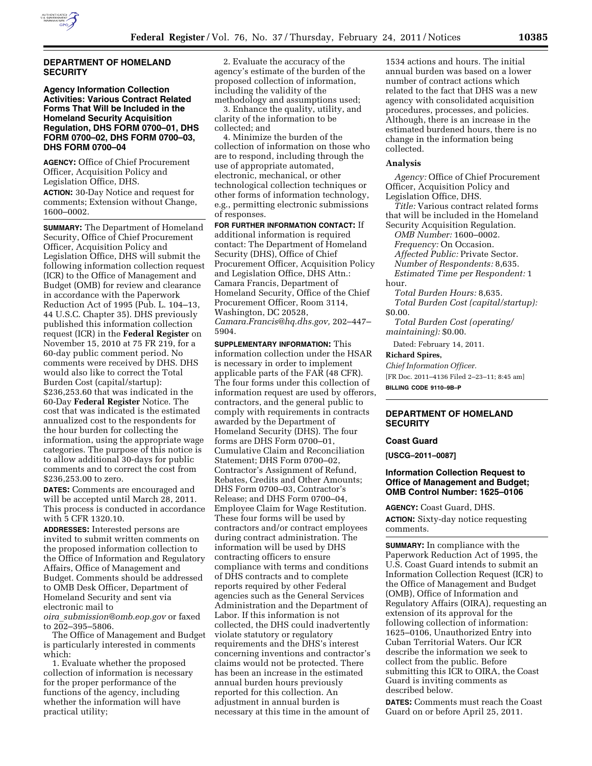

## **DEPARTMENT OF HOMELAND SECURITY**

# **Agency Information Collection Activities: Various Contract Related Forms That Will be Included in the Homeland Security Acquisition Regulation, DHS FORM 0700–01, DHS FORM 0700–02, DHS FORM 0700–03, DHS FORM 0700–04**

**AGENCY:** Office of Chief Procurement Officer, Acquisition Policy and Legislation Office, DHS. **ACTION:** 30-Day Notice and request for comments; Extension without Change, 1600–0002.

**SUMMARY:** The Department of Homeland Security, Office of Chief Procurement Officer, Acquisition Policy and Legislation Office, DHS will submit the following information collection request (ICR) to the Office of Management and Budget (OMB) for review and clearance in accordance with the Paperwork Reduction Act of 1995 (Pub. L. 104–13, 44 U.S.C. Chapter 35). DHS previously published this information collection request (ICR) in the **Federal Register** on November 15, 2010 at 75 FR 219, for a 60-day public comment period. No comments were received by DHS. DHS would also like to correct the Total Burden Cost (capital/startup): \$236,253.60 that was indicated in the 60-Day **Federal Register** Notice. The cost that was indicated is the estimated annualized cost to the respondents for the hour burden for collecting the information, using the appropriate wage categories. The purpose of this notice is to allow additional 30-days for public comments and to correct the cost from \$236,253.00 to zero.

**DATES:** Comments are encouraged and will be accepted until March 28, 2011. This process is conducted in accordance with 5 CFR 1320.10.

**ADDRESSES:** Interested persons are invited to submit written comments on the proposed information collection to the Office of Information and Regulatory Affairs, Office of Management and Budget. Comments should be addressed to OMB Desk Officer, Department of Homeland Security and sent via electronic mail to

*oira*\_*[submission@omb.eop.gov](mailto:oira_submission@omb.eop.gov)* or faxed to 202–395–5806.

The Office of Management and Budget is particularly interested in comments which:

1. Evaluate whether the proposed collection of information is necessary for the proper performance of the functions of the agency, including whether the information will have practical utility;

2. Evaluate the accuracy of the agency's estimate of the burden of the proposed collection of information, including the validity of the methodology and assumptions used;

3. Enhance the quality, utility, and clarity of the information to be collected; and

4. Minimize the burden of the collection of information on those who are to respond, including through the use of appropriate automated, electronic, mechanical, or other technological collection techniques or other forms of information technology, e.g., permitting electronic submissions of responses.

**FOR FURTHER INFORMATION CONTACT:** If additional information is required contact: The Department of Homeland Security (DHS), Office of Chief Procurement Officer, Acquisition Policy and Legislation Office, DHS Attn.: Camara Francis, Department of Homeland Security, Office of the Chief Procurement Officer, Room 3114, Washington, DC 20528, *[Camara.Francis@hq.dhs.gov,](mailto:Camara.Francis@hq.dhs.gov)* 202–447– 5904.

**SUPPLEMENTARY INFORMATION:** This information collection under the HSAR is necessary in order to implement applicable parts of the FAR (48 CFR). The four forms under this collection of information request are used by offerors, contractors, and the general public to comply with requirements in contracts awarded by the Department of Homeland Security (DHS). The four forms are DHS Form 0700–01, Cumulative Claim and Reconciliation Statement; DHS Form 0700–02, Contractor's Assignment of Refund, Rebates, Credits and Other Amounts; DHS Form 0700–03, Contractor's Release; and DHS Form 0700–04, Employee Claim for Wage Restitution. These four forms will be used by contractors and/or contract employees during contract administration. The information will be used by DHS contracting officers to ensure compliance with terms and conditions of DHS contracts and to complete reports required by other Federal agencies such as the General Services Administration and the Department of Labor. If this information is not collected, the DHS could inadvertently violate statutory or regulatory requirements and the DHS's interest concerning inventions and contractor's claims would not be protected. There has been an increase in the estimated annual burden hours previously reported for this collection. An adjustment in annual burden is necessary at this time in the amount of

1534 actions and hours. The initial annual burden was based on a lower number of contract actions which related to the fact that DHS was a new agency with consolidated acquisition procedures, processes, and policies. Although, there is an increase in the estimated burdened hours, there is no change in the information being collected.

### **Analysis**

*Agency:* Office of Chief Procurement Officer, Acquisition Policy and Legislation Office, DHS.

*Title:* Various contract related forms that will be included in the Homeland Security Acquisition Regulation.

*OMB Number:* 1600–0002. *Frequency:* On Occasion. *Affected Public:* Private Sector. *Number of Respondents:* 8,635.

*Estimated Time per Respondent:* 1 hour.

*Total Burden Hours:* 8,635. *Total Burden Cost (capital/startup):*  \$0.00.

*Total Burden Cost (operating/ maintaining):* \$0.00.

Dated: February 14, 2011.

**Richard Spires,** 

*Chief Information Officer.* 

[FR Doc. 2011–4136 Filed 2–23–11; 8:45 am] **BILLING CODE 9110–9B–P** 

# **DEPARTMENT OF HOMELAND SECURITY**

### **Coast Guard**

**[USCG–2011–0087]** 

### **Information Collection Request to Office of Management and Budget; OMB Control Number: 1625–0106**

**AGENCY:** Coast Guard, DHS.

**ACTION:** Sixty-day notice requesting comments.

**SUMMARY:** In compliance with the Paperwork Reduction Act of 1995, the U.S. Coast Guard intends to submit an Information Collection Request (ICR) to the Office of Management and Budget (OMB), Office of Information and Regulatory Affairs (OIRA), requesting an extension of its approval for the following collection of information: 1625–0106, Unauthorized Entry into Cuban Territorial Waters. Our ICR describe the information we seek to collect from the public. Before submitting this ICR to OIRA, the Coast Guard is inviting comments as described below.

**DATES:** Comments must reach the Coast Guard on or before April 25, 2011.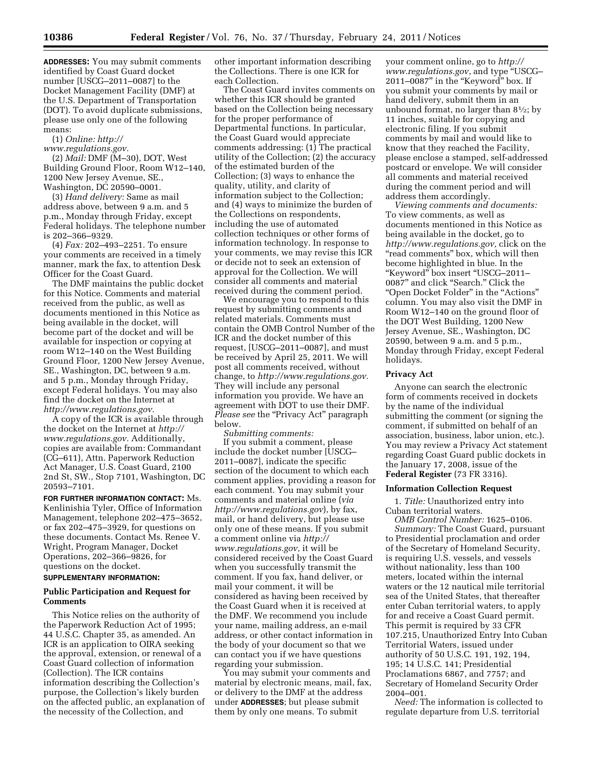**ADDRESSES:** You may submit comments identified by Coast Guard docket number [USCG–2011–0087] to the Docket Management Facility (DMF) at the U.S. Department of Transportation (DOT). To avoid duplicate submissions, please use only one of the following means:

(1) *Online: [http://](http://www.regulations.gov)* 

*[www.regulations.gov.](http://www.regulations.gov)* 

(2) *Mail:* DMF (M–30), DOT, West Building Ground Floor, Room W12–140, 1200 New Jersey Avenue, SE., Washington, DC 20590–0001.

(3) *Hand delivery:* Same as mail address above, between 9 a.m. and 5 p.m., Monday through Friday, except Federal holidays. The telephone number is 202–366–9329.

(4) *Fax:* 202–493–2251. To ensure your comments are received in a timely manner, mark the fax, to attention Desk Officer for the Coast Guard.

The DMF maintains the public docket for this Notice. Comments and material received from the public, as well as documents mentioned in this Notice as being available in the docket, will become part of the docket and will be available for inspection or copying at room W12–140 on the West Building Ground Floor, 1200 New Jersey Avenue, SE., Washington, DC, between 9 a.m. and 5 p.m., Monday through Friday, except Federal holidays. You may also find the docket on the Internet at *[http://www.regulations.gov.](http://www.regulations.gov)* 

A copy of the ICR is available through the docket on the Internet at *[http://](http://www.regulations.gov) [www.regulations.gov.](http://www.regulations.gov)* Additionally, copies are available from: Commandant (CG–611), Attn. Paperwork Reduction Act Manager, U.S. Coast Guard, 2100 2nd St, SW., Stop 7101, Washington, DC 20593–7101.

**FOR FURTHER INFORMATION CONTACT:** Ms. Kenlinishia Tyler, Office of Information Management, telephone 202–475–3652, or fax 202–475–3929, for questions on these documents. Contact Ms. Renee V. Wright, Program Manager, Docket Operations, 202–366–9826, for questions on the docket.

### **SUPPLEMENTARY INFORMATION:**

## **Public Participation and Request for Comments**

This Notice relies on the authority of the Paperwork Reduction Act of 1995; 44 U.S.C. Chapter 35, as amended. An ICR is an application to OIRA seeking the approval, extension, or renewal of a Coast Guard collection of information (Collection). The ICR contains information describing the Collection's purpose, the Collection's likely burden on the affected public, an explanation of the necessity of the Collection, and

other important information describing the Collections. There is one ICR for each Collection.

The Coast Guard invites comments on whether this ICR should be granted based on the Collection being necessary for the proper performance of Departmental functions. In particular, the Coast Guard would appreciate comments addressing: (1) The practical utility of the Collection; (2) the accuracy of the estimated burden of the Collection; (3) ways to enhance the quality, utility, and clarity of information subject to the Collection; and (4) ways to minimize the burden of the Collections on respondents, including the use of automated collection techniques or other forms of information technology. In response to your comments, we may revise this ICR or decide not to seek an extension of approval for the Collection. We will consider all comments and material received during the comment period.

We encourage you to respond to this request by submitting comments and related materials. Comments must contain the OMB Control Number of the ICR and the docket number of this request, [USCG–2011–0087], and must be received by April 25, 2011. We will post all comments received, without change, to *[http://www.regulations.gov.](http://www.regulations.gov)*  They will include any personal information you provide. We have an agreement with DOT to use their DMF. *Please see* the "Privacy Act" paragraph below.

*Submitting comments:* 

If you submit a comment, please include the docket number [USCG– 2011–0087], indicate the specific section of the document to which each comment applies, providing a reason for each comment. You may submit your comments and material online (*via <http://www.regulations.gov>*), by fax, mail, or hand delivery, but please use only one of these means. If you submit a comment online via *[http://](http://www.regulations.gov) [www.regulations.gov,](http://www.regulations.gov)* it will be considered received by the Coast Guard when you successfully transmit the comment. If you fax, hand deliver, or mail your comment, it will be considered as having been received by the Coast Guard when it is received at the DMF. We recommend you include your name, mailing address, an e-mail address, or other contact information in the body of your document so that we can contact you if we have questions regarding your submission.

You may submit your comments and material by electronic means, mail, fax, or delivery to the DMF at the address under **ADDRESSES**; but please submit them by only one means. To submit

your comment online, go to *[http://](http://www.regulations.gov)  [www.regulations.gov](http://www.regulations.gov)*, and type ''USCG– 2011–0087'' in the ''Keyword'' box. If you submit your comments by mail or hand delivery, submit them in an unbound format, no larger than 81⁄2; by 11 inches, suitable for copying and electronic filing. If you submit comments by mail and would like to know that they reached the Facility, please enclose a stamped, self-addressed postcard or envelope. We will consider all comments and material received during the comment period and will address them accordingly.

*Viewing comments and documents:*  To view comments, as well as documents mentioned in this Notice as being available in the docket, go to *[http://www.regulations.gov,](http://www.regulations.gov)* click on the "read comments" box, which will then become highlighted in blue. In the ''Keyword'' box insert ''USCG–2011– 0087'' and click ''Search.'' Click the ''Open Docket Folder'' in the ''Actions'' column. You may also visit the DMF in Room W12–140 on the ground floor of the DOT West Building, 1200 New Jersey Avenue, SE., Washington, DC 20590, between 9 a.m. and 5 p.m., Monday through Friday, except Federal holidays.

#### **Privacy Act**

Anyone can search the electronic form of comments received in dockets by the name of the individual submitting the comment (or signing the comment, if submitted on behalf of an association, business, labor union, etc.). You may review a Privacy Act statement regarding Coast Guard public dockets in the January 17, 2008, issue of the **Federal Register** (73 FR 3316).

#### **Information Collection Request**

1. *Title:* Unauthorized entry into Cuban territorial waters.

*OMB Control Number:* 1625–0106. *Summary:* The Coast Guard, pursuant to Presidential proclamation and order of the Secretary of Homeland Security, is requiring U.S. vessels, and vessels without nationality, less than 100 meters, located within the internal waters or the 12 nautical mile territorial sea of the United States, that thereafter enter Cuban territorial waters, to apply for and receive a Coast Guard permit. This permit is required by 33 CFR 107.215, Unauthorized Entry Into Cuban Territorial Waters, issued under authority of 50 U.S.C. 191, 192, 194, 195; 14 U.S.C. 141; Presidential Proclamations 6867, and 7757; and Secretary of Homeland Security Order 2004–001.

*Need:* The information is collected to regulate departure from U.S. territorial